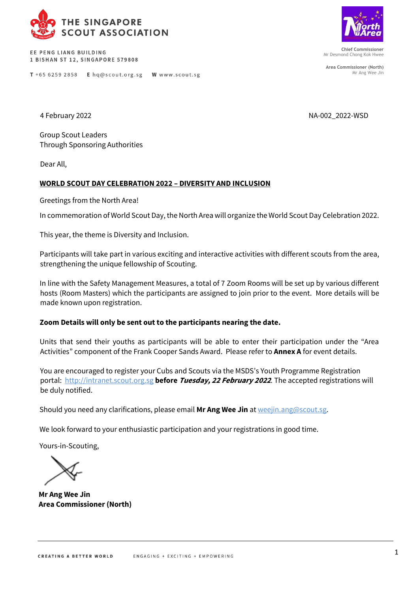

EE PENG LIANG BUILDING 1 BISHAN ST 12, SINGAPORE 579808

T +65 6259 2858 E hq@scout.org.sg W www.scout.sg



**Chief Commissioner** Mr Desmond Chong Kok Hwee

**Area Commissioner (North)** Mr Ang Wee Jin

4 February 2022 NA-002 2022-WSD

Group Scout Leaders Through Sponsoring Authorities

Dear All,

#### **WORLD SCOUT DAY CELEBRATION 2022 – DIVERSITY AND INCLUSION**

Greetings from the North Area!

In commemoration of World Scout Day, the North Area will organize the World Scout Day Celebration 2022.

This year, the theme is Diversity and Inclusion.

Participants will take part in various exciting and interactive activities with different scouts from the area, strengthening the unique fellowship of Scouting.

In line with the Safety Management Measures, a total of 7 Zoom Rooms will be set up by various different hosts (Room Masters) which the participants are assigned to join prior to the event. More details will be made known upon registration.

#### **Zoom Details will only be sent out to the participants nearing the date.**

Units that send their youths as participants will be able to enter their participation under the "Area Activities" component of the Frank Cooper Sands Award. Please refer to **Annex A** for event details.

You are encouraged to register your Cubs and Scouts via the MSDS's Youth Programme Registration portal[: http://intranet.scout.org.sg](http://intranet.scout.org.sg/) **[be](http://intranet.scout.org.sg/)fore Tuesday, 22 February <sup>2022</sup>**. The accepted registrations will be duly notified.

Should you need any clarifications, please email **Mr Ang Wee Jin** at weejin.ang@scout.sg.

We look forward to your enthusiastic participation and your registrations in good time.

Yours-in-Scouting,

**Mr Ang Wee Jin Area Commissioner (North)**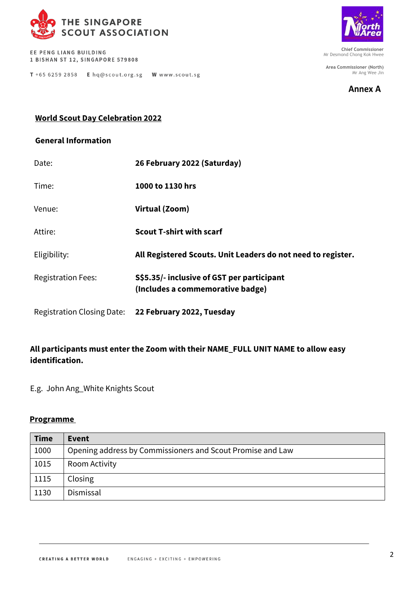

EE PENG LIANG BUILDING 1 BISHAN ST 12, SINGAPORE 579808

T +65 6259 2858 E hq@scout.org.sg W www.scout.sg



**Chief Commissioner** Mr Desmond Chong Kok Hwee

**Area Commissioner (North)** Mr Ang Wee Jin



### **World Scout Day Celebration 2022**

### **General Information**

| Date:                     | 26 February 2022 (Saturday)                                                    |  |
|---------------------------|--------------------------------------------------------------------------------|--|
| Time:                     | 1000 to 1130 hrs                                                               |  |
| Venue:                    | Virtual (Zoom)                                                                 |  |
| Attire:                   | <b>Scout T-shirt with scarf</b>                                                |  |
| Eligibility:              | All Registered Scouts. Unit Leaders do not need to register.                   |  |
| <b>Registration Fees:</b> | S\$5.35/- inclusive of GST per participant<br>(Includes a commemorative badge) |  |
|                           | Registration Closing Date: 22 February 2022, Tuesday                           |  |

## **All participants must enter the Zoom with their NAME\_FULL UNIT NAME to allow easy identification.**

E.g. John Ang\_White Knights Scout

#### **Programme**

| <b>Time</b> | <b>Event</b>                                               |
|-------------|------------------------------------------------------------|
| 1000        | Opening address by Commissioners and Scout Promise and Law |
| 1015        | Room Activity                                              |
| 1115        | Closing                                                    |
| 1130        | Dismissal                                                  |